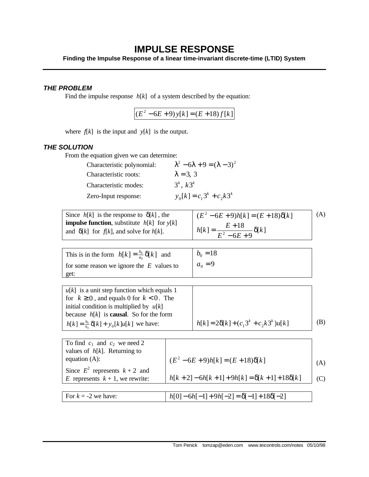## **IMPULSE RESPONSE**

**Finding the Impulse Response of a linear time-invariant discrete-time (LTID) System**

## *THE PROBLEM*

Find the impulse response *h*[*k*] of a system described by the equation:

 $(E^2 - 6E + 9) y[k] = (E + 18) f[k]$ 

where  $f[k]$  is the input and  $y[k]$  is the output.

## *THE SOLUTION*

From the equation given we can determine:

| Characteristic polynomial: | $\lambda^2 - 6\lambda + 9 = (\lambda - 3)^2$ |
|----------------------------|----------------------------------------------|
| Characteristic roots:      | $\lambda = 3$ , 3                            |
| Characteristic modes:      | $3^k, k3^k$                                  |
| Zero-Input response:       | $y_0[k] = c_1 3^k + c_2 k 3^k$               |

Since  $h[k]$  is the response to  $\delta[k]$ , the **impulse function**, substitute  $h[k]$  for  $y[k]$ and  $\delta[k]$  for  $f[k]$ , and solve for  $h[k]$ .  $(E^2 - 6E + 9)h[k] = (E + 18)\delta[k]$  $[k] = \frac{E + 18}{E^2 - 6E + 0} \delta[k]$  $E^2 - 6E$  $h[k] = \frac{E+18}{E^2 - 5E-8} \delta$  $=\frac{E+}{2}$ 

| (A) |
|-----|
|     |
|     |
|     |

| This is in the form $h[k] = \frac{b_0}{a_0} \delta[k]$ and | $b_0 = 18$ |
|------------------------------------------------------------|------------|
| for some reason we ignore the $E$ values to                | $a_0 = 9$  |
| get:                                                       |            |

 $u[k]$  is a unit step function which equals 1 for  $k \geq 0$ , and equals 0 for  $k < 0$ . The initial condition is multiplied by  $u[k]$ because *h*[*k*] is **causal**. So for the form  $h[k] = \frac{b_0}{a_0} \delta[k] + y_0[k]u[k]$  $= \frac{b_0}{a_0} \delta[k] + y_0[k]u[k]$  we have:  $\left\{ h[k] = 2\delta[k] + (c_1 3^k + c_2 k 3^k)u[k]$  (B)

| To find $c_1$ and $c_2$ we need 2  |                                                |     |
|------------------------------------|------------------------------------------------|-----|
| values of $h[k]$ . Returning to    |                                                |     |
| equation $(A)$ :                   | $(E^2 - 6E + 9)h[k] = (E + 18)\delta[k]$       | (A) |
| Since $E^2$ represents $k+2$ and   |                                                |     |
| E represents $k + 1$ , we rewrite: | $h[k+2]-6h[k+1]+9h[k]=\delta[k+1]+18\delta[k]$ | (C) |
|                                    |                                                |     |
| For $k = -2$ we have:              | $h[0]-6h[-1]+9h[-2]=\delta[-1]+18\delta[-2]$   |     |

 $[k]$ 

 $6E + 9$ 

 $-6E +$